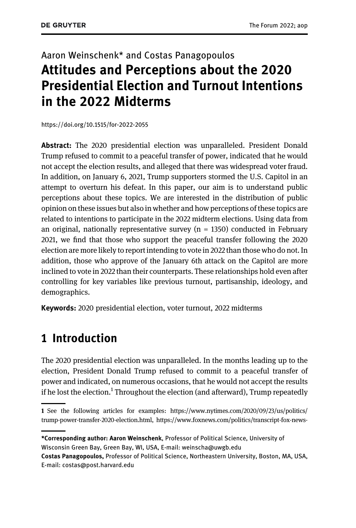# Aaron Weinschenk\* and Costas Panagopoulos Attitudes and Perceptions about the 2020 Presidential Election and Turnout Intentions in the 2022 Midterms

<https://doi.org/10.1515/for-2022-2055>

Abstract: The 2020 presidential election was unparalleled. President Donald Trump refused to commit to a peaceful transfer of power, indicated that he would not accept the election results, and alleged that there was widespread voter fraud. In addition, on January 6, 2021, Trump supporters stormed the U.S. Capitol in an attempt to overturn his defeat. In this paper, our aim is to understand public perceptions about these topics. We are interested in the distribution of public opinion on these issues but also in whether and how perceptions of these topics are related to intentions to participate in the 2022 midterm elections. Using data from an original, nationally representative survey  $(n = 1350)$  conducted in February 2021, we find that those who support the peaceful transfer following the 2020 election are more likely to report intending to vote in 2022 than those who do not. In addition, those who approve of the January 6th attack on the Capitol are more inclined to vote in 2022 than their counterparts. These relationships hold even after controlling for key variables like previous turnout, partisanship, ideology, and demographics.

Keywords: 2020 presidential election, voter turnout, 2022 midterms

### 1 Introduction

The 2020 presidential election was unparalleled. In the months leading up to the election, President Donald Trump refused to commit to a peaceful transfer of power and indicated, on numerous occasions, that he would not accept the results if he lost the election.<sup>1</sup> Throughout the election (and afterward), Trump repeatedly

<sup>1</sup> See the following articles for examples: [https://www.nytimes.com/2020/09/23/us/politics/](https://www.nytimes.com/2020/09/23/us/politics/trump-power-transfer-2020-election.html) [trump-power-transfer-2020-election.html](https://www.nytimes.com/2020/09/23/us/politics/trump-power-transfer-2020-election.html), [https://www.foxnews.com/politics/transcript-fox-news-](https://www.foxnews.com/politics/transcript-fox-news-sunday-interview-with-president-trump)

<sup>\*</sup>Corresponding author: Aaron Weinschenk, Professor of Political Science, University of Wisconsin Green Bay, Green Bay, WI, USA, E-mail: [weinscha@uwgb.edu](mailto:weinscha@uwgb.edu)

Costas Panagopoulos, Professor of Political Science, Northeastern University, Boston, MA, USA, E-mail: [costas@post.harvard.edu](mailto:costas@post.harvard.edu)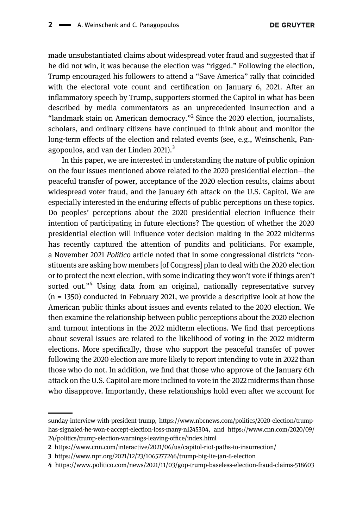made unsubstantiated claims about widespread voter fraud and suggested that if he did not win, it was because the election was "rigged." Following the election, Trump encouraged his followers to attend a "Save America" rally that coincided with the electoral vote count and certification on January 6, 2021. After an inflammatory speech by Trump, supporters stormed the Capitol in what has been described by media commentators as an unprecedented insurrection and a "landmark stain on American democracy."<sup>2</sup> Since the 2020 election, journalists, scholars, and ordinary citizens have continued to think about and monitor the long-term effects of the election and related events (see, e.g., [Weinschenk, Pan](#page-14-0)[agopoulos, and van der Linden 2021\)](#page-14-0). $3$ 

In this paper, we are interested in understanding the nature of public opinion on the four issues mentioned above related to the 2020 presidential election—the peaceful transfer of power, acceptance of the 2020 election results, claims about widespread voter fraud, and the January 6th attack on the U.S. Capitol. We are especially interested in the enduring effects of public perceptions on these topics. Do peoples' perceptions about the 2020 presidential election influence their intention of participating in future elections? The question of whether the 2020 presidential election will influence voter decision making in the 2022 midterms has recently captured the attention of pundits and politicians. For example, a November 2021 Politico article noted that in some congressional districts "constituents are asking how members [of Congress] plan to deal with the 2020 election or to protect the next election, with some indicating they won't vote if things aren't sorted out."<sup>4</sup> Using data from an original, nationally representative survey  $(n = 1350)$  conducted in February 2021, we provide a descriptive look at how the American public thinks about issues and events related to the 2020 election. We then examine the relationship between public perceptions about the 2020 election and turnout intentions in the 2022 midterm elections. We find that perceptions about several issues are related to the likelihood of voting in the 2022 midterm elections. More specifically, those who support the peaceful transfer of power following the 2020 election are more likely to report intending to vote in 2022 than those who do not. In addition, we find that those who approve of the January 6th attack on the U.S. Capitol are more inclined to vote in the 2022 midterms than those who disapprove. Importantly, these relationships hold even after we account for

[sunday-interview-with-president-trump](https://www.foxnews.com/politics/transcript-fox-news-sunday-interview-with-president-trump), [https://www.nbcnews.com/politics/2020-election/trump](https://www.nbcnews.com/politics/2020-election/trump-has-signaled-he-won-t-accept-election-loss-many-n1245304)[has-signaled-he-won-t-accept-election-loss-many-n1245304](https://www.nbcnews.com/politics/2020-election/trump-has-signaled-he-won-t-accept-election-loss-many-n1245304), and [https://www.cnn.com/2020/09/](https://www.cnn.com/2020/09/24/politics/trump-election-warnings-leaving-office/index.html) [24/politics/trump-election-warnings-leaving-of](https://www.cnn.com/2020/09/24/politics/trump-election-warnings-leaving-office/index.html)fice/index.html

<sup>2</sup> <https://www.cnn.com/interactive/2021/06/us/capitol-riot-paths-to-insurrection/>

<sup>3</sup> <https://www.npr.org/2021/12/23/1065277246/trump-big-lie-jan-6-election>

<sup>4</sup> <https://www.politico.com/news/2021/11/03/gop-trump-baseless-election-fraud-claims-518603>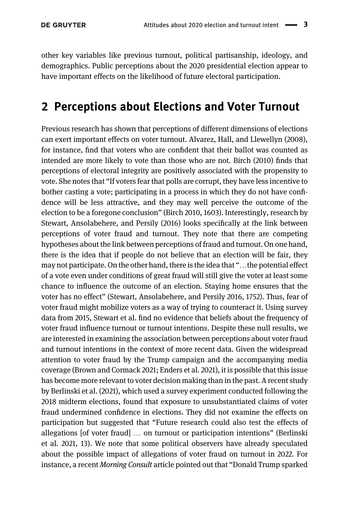other key variables like previous turnout, political partisanship, ideology, and demographics. Public perceptions about the 2020 presidential election appear to have important effects on the likelihood of future electoral participation.

## 2 Perceptions about Elections and Voter Turnout

Previous research has shown that perceptions of different dimensions of elections can exert important effects on voter turnout. [Alvarez, Hall, and Llewellyn \(2008\)](#page-13-0), for instance, find that voters who are confident that their ballot was counted as intended are more likely to vote than those who are not. [Birch \(2010\)](#page-13-1) finds that perceptions of electoral integrity are positively associated with the propensity to vote. She notes that "If voters fear that polls are corrupt, they have less incentive to bother casting a vote; participating in a process in which they do not have confidence will be less attractive, and they may well perceive the outcome of the election to be a foregone conclusion" ([Birch 2010,](#page-13-1) 1603). Interestingly, research by [Stewart, Ansolabehere, and Persily \(2016\)](#page-14-1) looks specifically at the link between perceptions of voter fraud and turnout. They note that there are competing hypotheses about the link between perceptions of fraud and turnout. On one hand, there is the idea that if people do not believe that an election will be fair, they may not participate. On the other hand, there is the idea that "…the potential effect of a vote even under conditions of great fraud will still give the voter at least some chance to influence the outcome of an election. Staying home ensures that the voter has no effect" ([Stewart, Ansolabehere, and Persily 2016,](#page-14-1) 1752). Thus, fear of voter fraud might mobilize voters as a way of trying to counteract it. Using survey data from 2015, Stewart et al. find no evidence that beliefs about the frequency of voter fraud influence turnout or turnout intentions. Despite these null results, we are interested in examining the association between perceptions about voter fraud and turnout intentions in the context of more recent data. Given the widespread attention to voter fraud by the Trump campaign and the accompanying media coverage [\(Brown and Cormack 2021;](#page-13-2) [Enders et al. 2021\)](#page-14-2), it is possible that this issue has become more relevant to voter decision making than in the past. A recent study by [Berlinski et al. \(2021\),](#page-13-3) which used a survey experiment conducted following the 2018 midterm elections, found that exposure to unsubstantiated claims of voter fraud undermined confidence in elections. They did not examine the effects on participation but suggested that "Future research could also test the effects of allegations [of voter fraud] … on turnout or participation intentions" ([Berlinski](#page-13-3) [et al. 2021](#page-13-3), 13). We note that some political observers have already speculated about the possible impact of allegations of voter fraud on turnout in 2022. For instance, a recent Morning Consult article pointed out that "Donald Trump sparked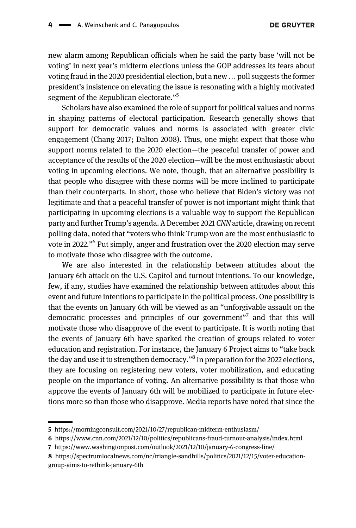new alarm among Republican officials when he said the party base 'will not be voting' in next year's midterm elections unless the GOP addresses its fears about voting fraud in the 2020 presidential election, but a new … poll suggests the former president's insistence on elevating the issue is resonating with a highly motivated segment of the Republican electorate."<sup>5</sup>

Scholars have also examined the role of support for political values and norms in shaping patterns of electoral participation. Research generally shows that support for democratic values and norms is associated with greater civic engagement [\(Chang 2017](#page-14-3); [Dalton 2008](#page-14-4)). Thus, one might expect that those who support norms related to the 2020 election—the peaceful transfer of power and acceptance of the results of the 2020 election—will be the most enthusiastic about voting in upcoming elections. We note, though, that an alternative possibility is that people who disagree with these norms will be more inclined to participate than their counterparts. In short, those who believe that Biden's victory was not legitimate and that a peaceful transfer of power is not important might think that participating in upcoming elections is a valuable way to support the Republican party and further Trump's agenda. A December 2021 CNN article, drawing on recent polling data, noted that "voters who think Trump won are the most enthusiastic to vote in 2022."<sup>6</sup> Put simply, anger and frustration over the 2020 election may serve to motivate those who disagree with the outcome.

We are also interested in the relationship between attitudes about the January 6th attack on the U.S. Capitol and turnout intentions. To our knowledge, few, if any, studies have examined the relationship between attitudes about this event and future intentions to participate in the political process. One possibility is that the events on January 6th will be viewed as an "unforgivable assault on the democratic processes and principles of our government"<sup>7</sup> and that this will motivate those who disapprove of the event to participate. It is worth noting that the events of January 6th have sparked the creation of groups related to voter education and registration. For instance, the January 6 Project aims to "take back the day and use it to strengthen democracy."<sup>8</sup> In preparation for the 2022 elections, they are focusing on registering new voters, voter mobilization, and educating people on the importance of voting. An alternative possibility is that those who approve the events of January 6th will be mobilized to participate in future elections more so than those who disapprove. Media reports have noted that since the

<sup>5</sup> <https://morningconsult.com/2021/10/27/republican-midterm-enthusiasm/>

<sup>6</sup> <https://www.cnn.com/2021/12/10/politics/republicans-fraud-turnout-analysis/index.html>

<sup>7</sup> <https://www.washingtonpost.com/outlook/2021/12/10/january-6-congress-line/>

<sup>8</sup> [https://spectrumlocalnews.com/nc/triangle-sandhills/politics/2021/12/15/voter-education](https://spectrumlocalnews.com/nc/triangle-sandhills/politics/2021/12/15/voter-education-group-aims-to-rethink-january-6th)[group-aims-to-rethink-january-6th](https://spectrumlocalnews.com/nc/triangle-sandhills/politics/2021/12/15/voter-education-group-aims-to-rethink-january-6th)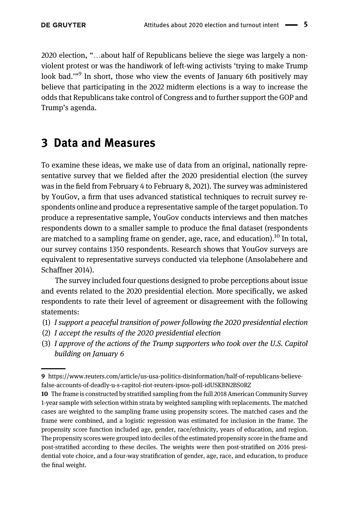2020 election, "…about half of Republicans believe the siege was largely a nonviolent protest or was the handiwork of left-wing activists 'trying to make Trump look bad."<sup>9</sup> In short, those who view the events of January 6th positively may believe that participating in the 2022 midterm elections is a way to increase the odds that Republicans take control of Congress and to further support the GOP and Trump's agenda.

## 3 Data and Measures

To examine these ideas, we make use of data from an original, nationally representative survey that we fielded after the 2020 presidential election (the survey was in the field from February 4 to February 8, 2021). The survey was administered by YouGov, a firm that uses advanced statistical techniques to recruit survey respondents online and produce a representative sample of the target population. To produce a representative sample, YouGov conducts interviews and then matches respondents down to a smaller sample to produce the final dataset (respondents are matched to a sampling frame on gender, age, race, and education).<sup>10</sup> In total, our survey contains 1350 respondents. Research shows that YouGov surveys are equivalent to representative surveys conducted via telephone ([Ansolabehere and](#page-13-4) [Schaffner 2014\)](#page-13-4).

The survey included four questions designed to probe perceptions about issue and events related to the 2020 presidential election. More specifically, we asked respondents to rate their level of agreement or disagreement with the following statements:

- (1) I support a peaceful transition of power following the 2020 presidential election
- (2) I accept the results of the 2020 presidential election
- (3) I approve of the actions of the Trump supporters who took over the U.S. Capitol building on January 6

<sup>9</sup> [https://www.reuters.com/article/us-usa-politics-disinformation/half-of-republicans-believe](https://www.reuters.com/article/us-usa-politics-disinformation/half-of-republicans-believe-false-accounts-of-deadly-u-s-capitol-riot-reuters-ipsos-poll-idUSKBN2BS0RZ)[false-accounts-of-deadly-u-s-capitol-riot-reuters-ipsos-poll-idUSKBN2BS0RZ](https://www.reuters.com/article/us-usa-politics-disinformation/half-of-republicans-believe-false-accounts-of-deadly-u-s-capitol-riot-reuters-ipsos-poll-idUSKBN2BS0RZ)

<sup>10</sup> The frame is constructed by stratified sampling from the full 2018 American Community Survey 1-year sample with selection within strata by weighted sampling with replacements. The matched cases are weighted to the sampling frame using propensity scores. The matched cases and the frame were combined, and a logistic regression was estimated for inclusion in the frame. The propensity score function included age, gender, race/ethnicity, years of education, and region. The propensity scores were grouped into deciles of the estimated propensity score in the frame and post-stratified according to these deciles. The weights were then post-stratified on 2016 presidential vote choice, and a four-way stratification of gender, age, race, and education, to produce the final weight.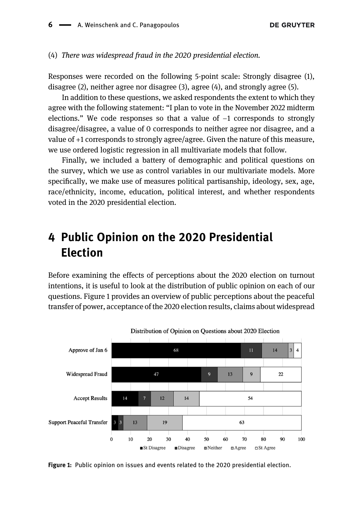#### (4) There was widespread fraud in the 2020 presidential election.

Responses were recorded on the following 5-point scale: Strongly disagree (1), disagree (2), neither agree nor disagree (3), agree (4), and strongly agree (5).

In addition to these questions, we asked respondents the extent to which they agree with the following statement: "I plan to vote in the November 2022 midterm elections." We code responses so that a value of −1 corresponds to strongly disagree/disagree, a value of 0 corresponds to neither agree nor disagree, and a value of +1 corresponds to strongly agree/agree. Given the nature of this measure, we use ordered logistic regression in all multivariate models that follow.

Finally, we included a battery of demographic and political questions on the survey, which we use as control variables in our multivariate models. More specifically, we make use of measures political partisanship, ideology, sex, age, race/ethnicity, income, education, political interest, and whether respondents voted in the 2020 presidential election.

## 4 Public Opinion on the 2020 Presidential Election

Before examining the effects of perceptions about the 2020 election on turnout intentions, it is useful to look at the distribution of public opinion on each of our questions. [Figure 1](#page-5-0) provides an overview of public perceptions about the peaceful transfer of power, acceptance of the 2020 election results, claims about widespread



<span id="page-5-0"></span>Figure 1: Public opinion on issues and events related to the 2020 presidential election.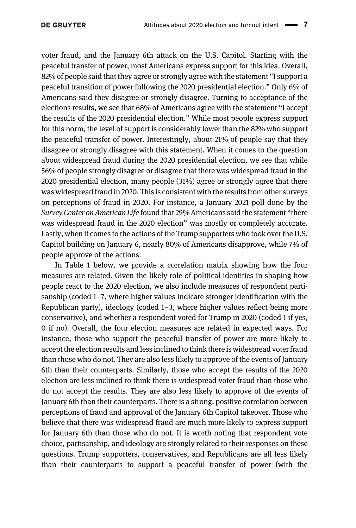voter fraud, and the January 6th attack on the U.S. Capitol. Starting with the peaceful transfer of power, most Americans express support for this idea. Overall, 82% of people said that they agree or strongly agree with the statement "I support a peaceful transition of power following the 2020 presidential election." Only 6% of Americans said they disagree or strongly disagree. Turning to acceptance of the elections results, we see that 68% of Americans agree with the statement "I accept the results of the 2020 presidential election." While most people express support for this norm, the level of support is considerably lower than the 82% who support the peaceful transfer of power. Interestingly, about 21% of people say that they disagree or strongly disagree with this statement. When it comes to the question about widespread fraud during the 2020 presidential election, we see that while 56% of people strongly disagree or disagree that there was widespread fraud in the 2020 presidential election, many people (31%) agree or strongly agree that there was widespread fraud in 2020. This is consistent with the results from other surveys on perceptions of fraud in 2020. For instance, a January 2021 poll done by the Survey Center on American Life found that 29% Americans said the statement "there was widespread fraud in the 2020 election" was mostly or completely accurate. Lastly, when it comes to the actions of the Trump supporters who took over the U.S. Capitol building on January 6, nearly 80% of Americans disapprove, while 7% of people approve of the actions.

In [Table 1](#page-7-0) below, we provide a correlation matrix showing how the four measures are related. Given the likely role of political identities in shaping how people react to the 2020 election, we also include measures of respondent partisanship (coded 1–7, where higher values indicate stronger identification with the Republican party), ideology (coded 1–3, where higher values reflect being more conservative), and whether a respondent voted for Trump in 2020 (coded 1 if yes, 0 if no). Overall, the four election measures are related in expected ways. For instance, those who support the peaceful transfer of power are more likely to accept the election results and less inclined to think there is widespread voter fraud than those who do not. They are also less likely to approve of the events of January 6th than their counterparts. Similarly, those who accept the results of the 2020 election are less inclined to think there is widespread voter fraud than those who do not accept the results. They are also less likely to approve of the events of January 6th than their counterparts. There is a strong, positive correlation between perceptions of fraud and approval of the January 6th Capitol takeover. Those who believe that there was widespread fraud are much more likely to express support for January 6th than those who do not. It is worth noting that respondent vote choice, partisanship, and ideology are strongly related to their responses on these questions. Trump supporters, conservatives, and Republicans are all less likely than their counterparts to support a peaceful transfer of power (with the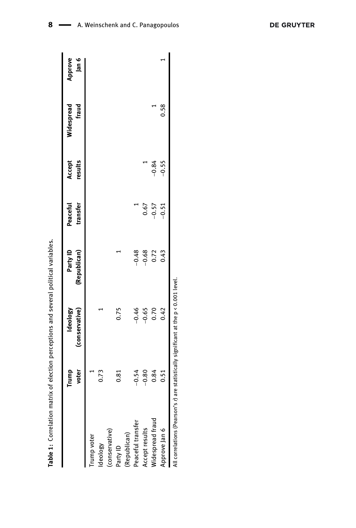<span id="page-7-0"></span>

|                   | Trump   | Ideology       | Party ID     | Peaceful | Accept  | Widespread | Approve |
|-------------------|---------|----------------|--------------|----------|---------|------------|---------|
|                   | voter   | (conservative) | (Republican) | transfer | results | fraud      | Jan 6   |
| Trump voter       |         |                |              |          |         |            |         |
| Ideology          | 0.73    |                |              |          |         |            |         |
| (conservative)    |         |                |              |          |         |            |         |
| Party ID          | 0.81    | 0.75           |              |          |         |            |         |
| (Republican)      |         |                |              |          |         |            |         |
| Peaceful transfer | $-0.54$ | $-0.46$        | $-0.48$      |          |         |            |         |
| Accept results    | $-0.80$ | $-0.65$        | $-0.68$      | 0.67     |         |            |         |
| Widespread fraud  | 0.84    | 0.70           | 0.72         | $-0.57$  | $-0.84$ |            |         |
| Approve Jan 6     | 0.51    | 0.42           | 0.43         | $-0.51$  | $-0.55$ | 0.58       |         |

Table 1: Correlation matrix of election perceptions and several political variables. Table : Correlation matrix of election perceptions and several political variables.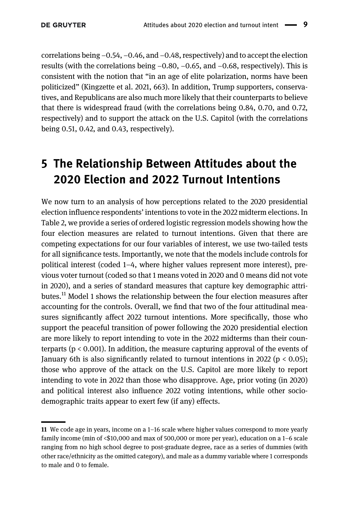correlations being −0.54, −0.46, and −0.48, respectively) and to accept the election results (with the correlations being −0.80, −0.65, and −0.68, respectively). This is consistent with the notion that "in an age of elite polarization, norms have been politicized" ([Kingzette et al. 2021](#page-14-5), 663). In addition, Trump supporters, conservatives, and Republicans are also much more likely that their counterparts to believe that there is widespread fraud (with the correlations being 0.84, 0.70, and 0.72, respectively) and to support the attack on the U.S. Capitol (with the correlations being 0.51, 0.42, and 0.43, respectively).

# 5 The Relationship Between Attitudes about the 2020 Election and 2022 Turnout Intentions

We now turn to an analysis of how perceptions related to the 2020 presidential election influence respondents' intentions to vote in the 2022 midterm elections. In [Table 2](#page-9-0), we provide a series of ordered logistic regression models showing how the four election measures are related to turnout intentions. Given that there are competing expectations for our four variables of interest, we use two-tailed tests for all significance tests. Importantly, we note that the models include controls for political interest (coded 1–4, where higher values represent more interest), previous voter turnout (coded so that 1 means voted in 2020 and 0 means did not vote in 2020), and a series of standard measures that capture key demographic attributes.<sup>11</sup> Model 1 shows the relationship between the four election measures after accounting for the controls. Overall, we find that two of the four attitudinal measures significantly affect 2022 turnout intentions. More specifically, those who support the peaceful transition of power following the 2020 presidential election are more likely to report intending to vote in the 2022 midterms than their counterparts ( $p < 0.001$ ). In addition, the measure capturing approval of the events of January 6th is also significantly related to turnout intentions in 2022 ( $p < 0.05$ ); those who approve of the attack on the U.S. Capitol are more likely to report intending to vote in 2022 than those who disapprove. Age, prior voting (in 2020) and political interest also influence 2022 voting intentions, while other sociodemographic traits appear to exert few (if any) effects.

<sup>11</sup> We code age in years, income on a 1–16 scale where higher values correspond to more yearly family income (min of <\$10,000 and max of 500,000 or more per year), education on a 1–6 scale ranging from no high school degree to post-graduate degree, race as a series of dummies (with other race/ethnicity as the omitted category), and male as a dummy variable where 1 corresponds to male and 0 to female.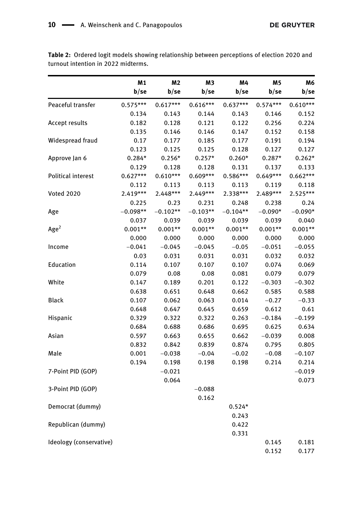<span id="page-9-0"></span>Table 2: Ordered logit models showing relationship between perceptions of election 2020 and turnout intention in 2022 midterms.

|                           | M1         | M2         | MЗ         | M4         | M5         | M6         |
|---------------------------|------------|------------|------------|------------|------------|------------|
|                           | b/se       | b/se       | b/se       | b/se       | b/se       | b/se       |
| Peaceful transfer         | $0.575***$ | $0.617***$ | $0.616***$ | $0.637***$ | $0.574***$ | $0.610***$ |
|                           | 0.134      | 0.143      | 0.144      | 0.143      | 0.146      | 0.152      |
| <b>Accept results</b>     | 0.182      | 0.128      | 0.121      | 0.122      | 0.256      | 0.224      |
|                           | 0.135      | 0.146      | 0.146      | 0.147      | 0.152      | 0.158      |
| Widespread fraud          | 0.17       | 0.177      | 0.185      | 0.177      | 0.191      | 0.194      |
|                           | 0.123      | 0.125      | 0.125      | 0.128      | 0.127      | 0.127      |
| Approve Jan 6             | $0.284*$   | $0.256*$   | $0.257*$   | $0.260*$   | $0.287*$   | $0.262*$   |
|                           | 0.129      | 0.128      | 0.128      | 0.131      | 0.137      | 0.133      |
| <b>Political interest</b> | $0.627***$ | $0.610***$ | $0.609***$ | $0.586***$ | $0.649***$ | $0.662***$ |
|                           | 0.112      | 0.113      | 0.113      | 0.113      | 0.119      | 0.118      |
| <b>Voted 2020</b>         | 2.419***   | $2.448***$ | 2.449***   | 2.338***   | 2.489***   | 2.525***   |
|                           | 0.225      | 0.23       | 0.231      | 0.248      | 0.238      | 0.24       |
| Age                       | $-0.098**$ | $-0.102**$ | $-0.103**$ | $-0.104**$ | $-0.090*$  | $-0.090*$  |
|                           | 0.037      | 0.039      | 0.039      | 0.039      | 0.039      | 0.040      |
| Age <sup>2</sup>          | $0.001**$  | $0.001**$  | $0.001**$  | $0.001**$  | $0.001**$  | $0.001**$  |
|                           | 0.000      | 0.000      | 0.000      | 0.000      | 0.000      | 0.000      |
| Income                    | $-0.041$   | $-0.045$   | $-0.045$   | $-0.05$    | $-0.051$   | $-0.055$   |
|                           | 0.03       | 0.031      | 0.031      | 0.031      | 0.032      | 0.032      |
| Education                 | 0.114      | 0.107      | 0.107      | 0.107      | 0.074      | 0.069      |
|                           | 0.079      | 0.08       | 0.08       | 0.081      | 0.079      | 0.079      |
| White                     | 0.147      | 0.189      | 0.201      | 0.122      | $-0.303$   | $-0.302$   |
|                           | 0.638      | 0.651      | 0.648      | 0.662      | 0.585      | 0.588      |
| <b>Black</b>              | 0.107      | 0.062      | 0.063      | 0.014      | $-0.27$    | $-0.33$    |
|                           | 0.648      | 0.647      | 0.645      | 0.659      | 0.612      | 0.61       |
| Hispanic                  | 0.329      | 0.322      | 0.322      | 0.263      | $-0.184$   | $-0.199$   |
|                           | 0.684      | 0.688      | 0.686      | 0.695      | 0.625      | 0.634      |
| Asian                     | 0.597      | 0.663      | 0.655      | 0.662      | $-0.039$   | 0.008      |
|                           | 0.832      | 0.842      | 0.839      | 0.874      | 0.795      | 0.805      |
| Male                      | 0.001      | $-0.038$   | $-0.04$    | $-0.02$    | $-0.08$    | $-0.107$   |
|                           | 0.194      | 0.198      | 0.198      | 0.198      | 0.214      | 0.214      |
| 7-Point PID (GOP)         |            | $-0.021$   |            |            |            | $-0.019$   |
|                           |            | 0.064      |            |            |            | 0.073      |
| 3-Point PID (GOP)         |            |            | $-0.088$   |            |            |            |
|                           |            |            | 0.162      |            |            |            |
| Democrat (dummy)          |            |            |            | $0.524*$   |            |            |
|                           |            |            |            | 0.243      |            |            |
| Republican (dummy)        |            |            |            | 0.422      |            |            |
|                           |            |            |            | 0.331      |            |            |
| Ideology (conservative)   |            |            |            |            | 0.145      | 0.181      |
|                           |            |            |            |            | 0.152      | 0.177      |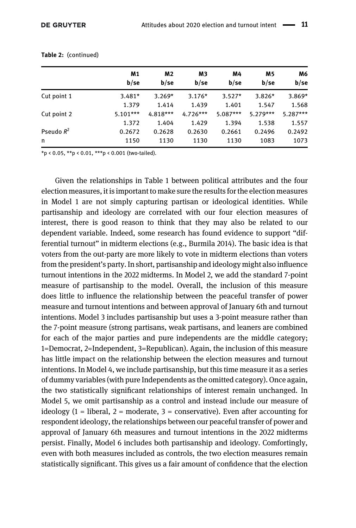|              | M1<br>b/sec | M2<br>b/sec | M3<br>b/sec | M4<br>b/sec | M <sub>5</sub><br>b/sec | M6<br>b/se |
|--------------|-------------|-------------|-------------|-------------|-------------------------|------------|
| Cut point 1  | $3.481*$    | $3.269*$    | $3.176*$    | $3.527*$    | $3.826*$                | $3.869*$   |
|              | 1.379       | 1.414       | 1.439       | 1.401       | 1.547                   | 1.568      |
| Cut point 2  | $5.101***$  | $4.818***$  | $4.726***$  | $5.087***$  | $5.279***$              | $5.287***$ |
|              | 1.372       | 1.404       | 1.429       | 1.394       | 1.538                   | 1.557      |
| Pseudo $R^2$ | 0.2672      | 0.2628      | 0.2630      | 0.2661      | 0.2496                  | 0.2492     |
| n            | 1150        | 1130        | 1130        | 1130        | 1083                    | 1073       |

Table 2: (continued)

\*p < 0.05, \*\*p < 0.01, \*\*\*p < 0.001 (two-tailed).

Given the relationships in [Table 1](#page-7-0) between political attributes and the four election measures, it is important to make sure the results for the election measures in Model 1 are not simply capturing partisan or ideological identities. While partisanship and ideology are correlated with our four election measures of interest, there is good reason to think that they may also be related to our dependent variable. Indeed, some research has found evidence to support "differential turnout" in midterm elections (e.g., [Burmila 2014](#page-13-5)). The basic idea is that voters from the out-party are more likely to vote in midterm elections than voters from the president's party. In short, partisanship and ideology might also influence turnout intentions in the 2022 midterms. In Model 2, we add the standard 7-point measure of partisanship to the model. Overall, the inclusion of this measure does little to influence the relationship between the peaceful transfer of power measure and turnout intentions and between approval of January 6th and turnout intentions. Model 3 includes partisanship but uses a 3-point measure rather than the 7-point measure (strong partisans, weak partisans, and leaners are combined for each of the major parties and pure independents are the middle category; 1=Democrat, 2=Independent, 3=Republican). Again, the inclusion of this measure has little impact on the relationship between the election measures and turnout intentions. In Model 4, we include partisanship, but this time measure it as a series of dummy variables (with pure Independents as the omitted category). Once again, the two statistically significant relationships of interest remain unchanged. In Model 5, we omit partisanship as a control and instead include our measure of ideology  $(1 =$  liberal,  $2 =$  moderate,  $3 =$  conservative). Even after accounting for respondent ideology, the relationships between our peaceful transfer of power and approval of January 6th measures and turnout intentions in the 2022 midterms persist. Finally, Model 6 includes both partisanship and ideology. Comfortingly, even with both measures included as controls, the two election measures remain statistically significant. This gives us a fair amount of confidence that the election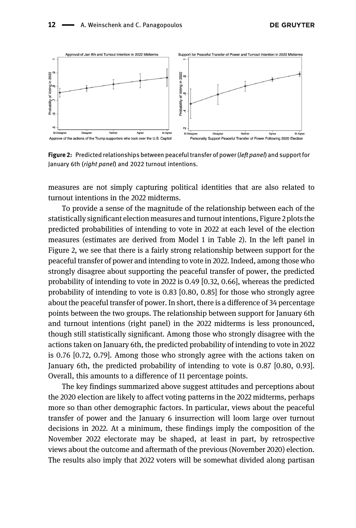

<span id="page-11-0"></span>Figure 2: Predicted relationships between peaceful transfer of power (left panel) and support for January 6th (right panel) and 2022 turnout intentions.

measures are not simply capturing political identities that are also related to turnout intentions in the 2022 midterms.

To provide a sense of the magnitude of the relationship between each of the statistically significant election measures and turnout intentions, [Figure 2](#page-11-0) plots the predicted probabilities of intending to vote in 2022 at each level of the election measures (estimates are derived from Model 1 in [Table 2\)](#page-9-0). In the left panel in [Figure 2](#page-11-0), we see that there is a fairly strong relationship between support for the peaceful transfer of power and intending to vote in 2022. Indeed, among those who strongly disagree about supporting the peaceful transfer of power, the predicted probability of intending to vote in 2022 is 0.49 [0.32, 0.66], whereas the predicted probability of intending to vote is 0.83 [0.80, 0.85] for those who strongly agree about the peaceful transfer of power. In short, there is a difference of 34 percentage points between the two groups. The relationship between support for January 6th and turnout intentions (right panel) in the 2022 midterms is less pronounced, though still statistically significant. Among those who strongly disagree with the actions taken on January 6th, the predicted probability of intending to vote in 2022 is 0.76 [0.72, 0.79]. Among those who strongly agree with the actions taken on January 6th, the predicted probability of intending to vote is 0.87 [0.80, 0.93]. Overall, this amounts to a difference of 11 percentage points.

The key findings summarized above suggest attitudes and perceptions about the 2020 election are likely to affect voting patterns in the 2022 midterms, perhaps more so than other demographic factors. In particular, views about the peaceful transfer of power and the January 6 insurrection will loom large over turnout decisions in 2022. At a minimum, these findings imply the composition of the November 2022 electorate may be shaped, at least in part, by retrospective views about the outcome and aftermath of the previous (November 2020) election. The results also imply that 2022 voters will be somewhat divided along partisan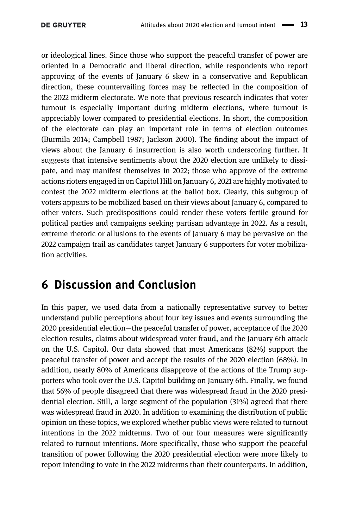or ideological lines. Since those who support the peaceful transfer of power are oriented in a Democratic and liberal direction, while respondents who report approving of the events of January 6 skew in a conservative and Republican direction, these countervailing forces may be reflected in the composition of the 2022 midterm electorate. We note that previous research indicates that voter turnout is especially important during midterm elections, where turnout is appreciably lower compared to presidential elections. In short, the composition of the electorate can play an important role in terms of election outcomes [\(Burmila 2014;](#page-13-5) [Campbell 1987](#page-13-6); [Jackson 2000](#page-14-6)). The finding about the impact of views about the January 6 insurrection is also worth underscoring further. It suggests that intensive sentiments about the 2020 election are unlikely to dissipate, and may manifest themselves in 2022; those who approve of the extreme actions rioters engaged in on Capitol Hill on January 6, 2021 are highly motivated to contest the 2022 midterm elections at the ballot box. Clearly, this subgroup of voters appears to be mobilized based on their views about January 6, compared to other voters. Such predispositions could render these voters fertile ground for political parties and campaigns seeking partisan advantage in 2022. As a result, extreme rhetoric or allusions to the events of January 6 may be pervasive on the 2022 campaign trail as candidates target January 6 supporters for voter mobilization activities.

# 6 Discussion and Conclusion

In this paper, we used data from a nationally representative survey to better understand public perceptions about four key issues and events surrounding the 2020 presidential election—the peaceful transfer of power, acceptance of the 2020 election results, claims about widespread voter fraud, and the January 6th attack on the U.S. Capitol. Our data showed that most Americans (82%) support the peaceful transfer of power and accept the results of the 2020 election (68%). In addition, nearly 80% of Americans disapprove of the actions of the Trump supporters who took over the U.S. Capitol building on January 6th. Finally, we found that 56% of people disagreed that there was widespread fraud in the 2020 presidential election. Still, a large segment of the population (31%) agreed that there was widespread fraud in 2020. In addition to examining the distribution of public opinion on these topics, we explored whether public views were related to turnout intentions in the 2022 midterms. Two of our four measures were significantly related to turnout intentions. More specifically, those who support the peaceful transition of power following the 2020 presidential election were more likely to report intending to vote in the 2022 midterms than their counterparts. In addition,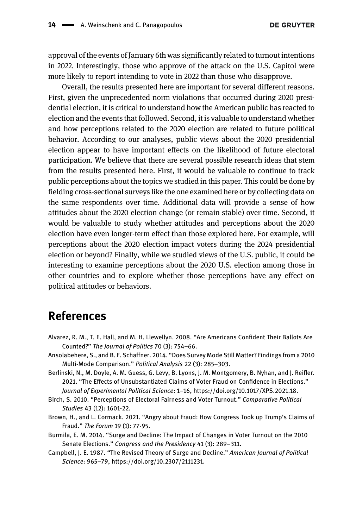approval of the events of January 6th was significantly related to turnout intentions in 2022. Interestingly, those who approve of the attack on the U.S. Capitol were more likely to report intending to vote in 2022 than those who disapprove.

Overall, the results presented here are important for several different reasons. First, given the unprecedented norm violations that occurred during 2020 presidential election, it is critical to understand how the American public has reacted to election and the events that followed. Second, it is valuable to understand whether and how perceptions related to the 2020 election are related to future political behavior. According to our analyses, public views about the 2020 presidential election appear to have important effects on the likelihood of future electoral participation. We believe that there are several possible research ideas that stem from the results presented here. First, it would be valuable to continue to track public perceptions about the topics we studied in this paper. This could be done by fielding cross-sectional surveys like the one examined here or by collecting data on the same respondents over time. Additional data will provide a sense of how attitudes about the 2020 election change (or remain stable) over time. Second, it would be valuable to study whether attitudes and perceptions about the 2020 election have even longer-term effect than those explored here. For example, will perceptions about the 2020 election impact voters during the 2024 presidential election or beyond? Finally, while we studied views of the U.S. public, it could be interesting to examine perceptions about the 2020 U.S. election among those in other countries and to explore whether those perceptions have any effect on political attitudes or behaviors.

#### References

- <span id="page-13-0"></span>Alvarez, R. M., T. E. Hall, and M. H. Llewellyn. 2008. "Are Americans Confident Their Ballots Are Counted?" The Journal of Politics 70 (3): 754–66.
- <span id="page-13-4"></span>Ansolabehere, S., and B. F. Schaffner. 2014. "Does Survey Mode Still Matter? Findings from a 2010 Multi-Mode Comparison." Political Analysis 22 (3): 285–303.
- <span id="page-13-3"></span>Berlinski, N., M. Doyle, A. M. Guess, G. Levy, B. Lyons, J. M. Montgomery, B. Nyhan, and J. Reifler. 2021. "The Effects of Unsubstantiated Claims of Voter Fraud on Confidence in Elections." Journal of Experimental Political Science: 1–16, [https://doi.org/10.1017/XPS.2021.18.](https://doi.org/10.1017/XPS.2021.18)
- <span id="page-13-1"></span>Birch, S. 2010. "Perceptions of Electoral Fairness and Voter Turnout." Comparative Political Studies 43 (12): 1601-22.
- <span id="page-13-2"></span>Brown, H., and L. Cormack. 2021. "Angry about Fraud: How Congress Took up Trump's Claims of Fraud." The Forum 19 (1): 77-95.
- <span id="page-13-5"></span>Burmila, E. M. 2014. "Surge and Decline: The Impact of Changes in Voter Turnout on the 2010 Senate Elections." Congress and the Presidency 41 (3): 289–311.
- <span id="page-13-6"></span>Campbell, J. E. 1987. "The Revised Theory of Surge and Decline." American Journal of Political Science: 965–79,<https://doi.org/10.2307/2111231>.